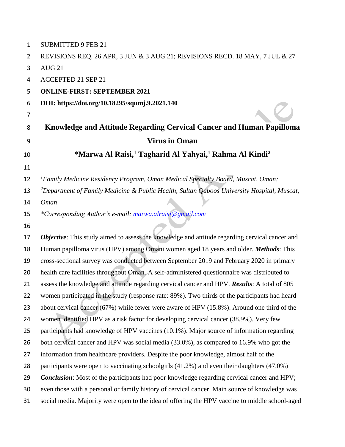| $\mathbf{1}$   | <b>SUBMITTED 9 FEB 21</b>                                                                              |
|----------------|--------------------------------------------------------------------------------------------------------|
| $\overline{2}$ | REVISIONS REQ. 26 APR, 3 JUN & 3 AUG 21; REVISIONS RECD. 18 MAY, 7 JUL & 27                            |
| 3              | <b>AUG 21</b>                                                                                          |
| 4              | <b>ACCEPTED 21 SEP 21</b>                                                                              |
| 5              | <b>ONLINE-FIRST: SEPTEMBER 2021</b>                                                                    |
| 6              | DOI: https://doi.org/10.18295/squmj.9.2021.140                                                         |
| 7              |                                                                                                        |
| 8              | Knowledge and Attitude Regarding Cervical Cancer and Human Papilloma                                   |
| 9              | <b>Virus in Oman</b>                                                                                   |
| 10             | *Marwa Al Raisi, <sup>1</sup> Tagharid Al Yahyai, <sup>1</sup> Rahma Al Kindi <sup>2</sup>             |
| 11             |                                                                                                        |
| 12             | <sup>1</sup> Family Medicine Residency Program, Oman Medical Specialty Board, Muscat, Oman;            |
| 13             | <sup>2</sup> Department of Family Medicine & Public Health, Sultan Qaboos University Hospital, Muscat, |
| 14             | <b>Oman</b>                                                                                            |
| 15             | *Corresponding Author's e-mail: marwa.alraisi@gmail.com                                                |
| 16             |                                                                                                        |
| 17             | Objective: This study aimed to assess the knowledge and attitude regarding cervical cancer and         |
| 18             | Human papilloma virus (HPV) among Omani women aged 18 years and older. Methods: This                   |
| 19             | cross-sectional survey was conducted between September 2019 and February 2020 in primary               |
| 20             | health care facilities throughout Oman. A self-administered questionnaire was distributed to           |
| 21             | assess the knowledge and attitude regarding cervical cancer and HPV. Results: A total of 805           |
| 22             | women participated in the study (response rate: 89%). Two thirds of the participants had heard         |
| 23             | about cervical cancer (67%) while fewer were aware of HPV (15.8%). Around one third of the             |
| 24             | women identified HPV as a risk factor for developing cervical cancer (38.9%). Very few                 |
| 25             | participants had knowledge of HPV vaccines (10.1%). Major source of information regarding              |
| 26             | both cervical cancer and HPV was social media (33.0%), as compared to 16.9% who got the                |
| 27             | information from healthcare providers. Despite the poor knowledge, almost half of the                  |
| 28             | participants were open to vaccinating schoolgirls (41.2%) and even their daughters (47.0%)             |
| 29             | <b>Conclusion:</b> Most of the participants had poor knowledge regarding cervical cancer and HPV;      |
| 30             | even those with a personal or family history of cervical cancer. Main source of knowledge was          |
| 31             | social media. Majority were open to the idea of offering the HPV vaccine to middle school-aged         |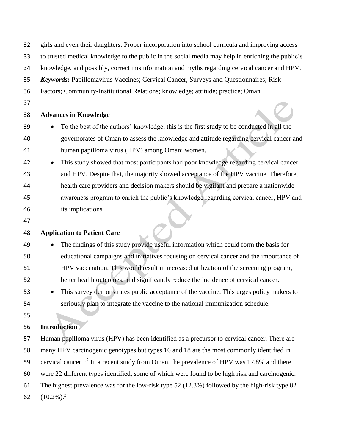| 32 | girls and even their daughters. Proper incorporation into school curricula and improving access        |  |  |  |  |  |  |  |
|----|--------------------------------------------------------------------------------------------------------|--|--|--|--|--|--|--|
| 33 | to trusted medical knowledge to the public in the social media may help in enriching the public's      |  |  |  |  |  |  |  |
| 34 | knowledge, and possibly, correct misinformation and myths regarding cervical cancer and HPV.           |  |  |  |  |  |  |  |
| 35 | <b>Keywords:</b> Papillomavirus Vaccines; Cervical Cancer, Surveys and Questionnaires; Risk            |  |  |  |  |  |  |  |
| 36 | Factors; Community-Institutional Relations; knowledge; attitude; practice; Oman                        |  |  |  |  |  |  |  |
| 37 |                                                                                                        |  |  |  |  |  |  |  |
| 38 | <b>Advances in Knowledge</b>                                                                           |  |  |  |  |  |  |  |
| 39 | To the best of the authors' knowledge, this is the first study to be conducted in all the              |  |  |  |  |  |  |  |
| 40 | governorates of Oman to assess the knowledge and attitude regarding cervical cancer and                |  |  |  |  |  |  |  |
| 41 | human papilloma virus (HPV) among Omani women.                                                         |  |  |  |  |  |  |  |
| 42 | This study showed that most participants had poor knowledge regarding cervical cancer                  |  |  |  |  |  |  |  |
| 43 | and HPV. Despite that, the majority showed acceptance of the HPV vaccine. Therefore,                   |  |  |  |  |  |  |  |
| 44 | health care providers and decision makers should be vigilant and prepare a nationwide                  |  |  |  |  |  |  |  |
| 45 | awareness program to enrich the public's knowledge regarding cervical cancer, HPV and                  |  |  |  |  |  |  |  |
| 46 | its implications.                                                                                      |  |  |  |  |  |  |  |
| 47 |                                                                                                        |  |  |  |  |  |  |  |
| 48 | <b>Application to Patient Care</b>                                                                     |  |  |  |  |  |  |  |
| 49 | The findings of this study provide useful information which could form the basis for                   |  |  |  |  |  |  |  |
| 50 | educational campaigns and initiatives focusing on cervical cancer and the importance of                |  |  |  |  |  |  |  |
| 51 | HPV vaccination. This would result in increased utilization of the screening program,                  |  |  |  |  |  |  |  |
| 52 | better health outcomes, and significantly reduce the incidence of cervical cancer.                     |  |  |  |  |  |  |  |
| 53 | This survey demonstrates public acceptance of the vaccine. This urges policy makers to                 |  |  |  |  |  |  |  |
| 54 | seriously plan to integrate the vaccine to the national immunization schedule.                         |  |  |  |  |  |  |  |
| 55 |                                                                                                        |  |  |  |  |  |  |  |
| 56 | <b>Introduction</b>                                                                                    |  |  |  |  |  |  |  |
| 57 | Human papilloma virus (HPV) has been identified as a precursor to cervical cancer. There are           |  |  |  |  |  |  |  |
| 58 | many HPV carcinogenic genotypes but types 16 and 18 are the most commonly identified in                |  |  |  |  |  |  |  |
| 59 | cervical cancer. <sup>1,2</sup> In a recent study from Oman, the prevalence of HPV was 17.8% and there |  |  |  |  |  |  |  |
| 60 | were 22 different types identified, some of which were found to be high risk and carcinogenic.         |  |  |  |  |  |  |  |
| 61 | The highest prevalence was for the low-risk type 52 (12.3%) followed by the high-risk type 82          |  |  |  |  |  |  |  |
| 62 | $(10.2\%)$ <sup>3</sup>                                                                                |  |  |  |  |  |  |  |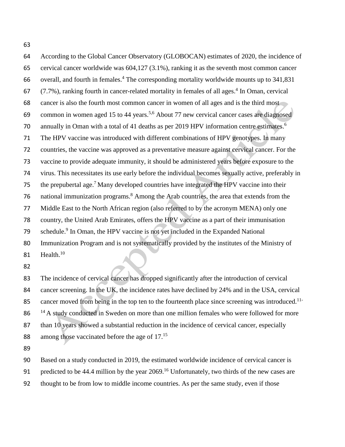According to the Global Cancer Observatory (GLOBOCAN) estimates of 2020, the incidence of cervical cancer worldwide was 604,127 (3.1%), ranking it as the seventh most common cancer 66 overall, and fourth in females.<sup>4</sup> The corresponding mortality worldwide mounts up to  $341,831$   $(7.7\%)$ , ranking fourth in cancer-related mortality in females of all ages.<sup>4</sup> In Oman, cervical cancer is also the fourth most common cancer in women of all ages and is the third most 69 common in women aged 15 to 44 years.<sup>5,6</sup> About 77 new cervical cancer cases are diagnosed 70 annually in Oman with a total of 41 deaths as per 2019 HPV information centre estimates.<sup>6</sup> The HPV vaccine was introduced with different combinations of HPV genotypes. In many countries, the vaccine was approved as a preventative measure against cervical cancer. For the vaccine to provide adequate immunity, it should be administered years before exposure to the virus. This necessitates its use early before the individual becomes sexually active, preferably in 75 the prepubertal age.<sup>7</sup> Many developed countries have integrated the HPV vaccine into their 76 national immunization programs.<sup>8</sup> Among the Arab countries, the area that extends from the Middle East to the North African region (also referred to by the acronym MENA) only one country, the United Arab Emirates, offers the HPV vaccine as a part of their immunisation 79 schedule.<sup>9</sup> In Oman, the HPV vaccine is not yet included in the Expanded National Immunization Program and is not systematically provided by the institutes of the Ministry of 81 Health.<sup>10</sup>

 The incidence of cervical cancer has dropped significantly after the introduction of cervical cancer screening. In the UK, the incidence rates have declined by 24% and in the USA, cervical 85 cancer moved from being in the top ten to the fourteenth place since screening was introduced.<sup>11-</sup>  $14A$  study conducted in Sweden on more than one million females who were followed for more 87 than 10 years showed a substantial reduction in the incidence of cervical cancer, especially 88 among those vaccinated before the age of  $17.^{15}$ 

 Based on a study conducted in 2019, the estimated worldwide incidence of cervical cancer is 91 predicted to be 44.4 million by the year .<sup>16</sup> Unfortunately, two thirds of the new cases are thought to be from low to middle income countries. As per the same study, even if those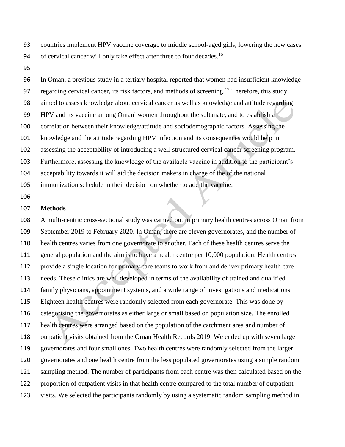countries implement HPV vaccine coverage to middle school-aged girls, lowering the new cases 94 of cervical cancer will only take effect after three to four decades.<sup>16</sup>

 In Oman, a previous study in a tertiary hospital reported that women had insufficient knowledge 97 regarding cervical cancer, its risk factors, and methods of screening.<sup>17</sup> Therefore, this study aimed to assess knowledge about cervical cancer as well as knowledge and attitude regarding HPV and its vaccine among Omani women throughout the sultanate, and to establish a correlation between their knowledge/attitude and sociodemographic factors. Assessing the knowledge and the attitude regarding HPV infection and its consequences would help in assessing the acceptability of introducing a well-structured cervical cancer screening program. Furthermore, assessing the knowledge of the available vaccine in addition to the participant's acceptability towards it will aid the decision makers in charge of the of the national immunization schedule in their decision on whether to add the vaccine.

## **Methods**

 A multi-centric cross-sectional study was carried out in primary health centres across Oman from September 2019 to February 2020. In Oman, there are eleven governorates, and the number of health centres varies from one governorate to another. Each of these health centres serve the 111 general population and the aim is to have a health centre per 10,000 population. Health centres provide a single location for primary care teams to work from and deliver primary health care needs. These clinics are well developed in terms of the availability of trained and qualified family physicians, appointment systems, and a wide range of investigations and medications. Eighteen health centres were randomly selected from each governorate. This was done by categorising the governorates as either large or small based on population size. The enrolled health centres were arranged based on the population of the catchment area and number of outpatient visits obtained from the Oman Health Records 2019. We ended up with seven large governorates and four small ones. Two health centres were randomly selected from the larger governorates and one health centre from the less populated governorates using a simple random sampling method. The number of participants from each centre was then calculated based on the proportion of outpatient visits in that health centre compared to the total number of outpatient visits. We selected the participants randomly by using a systematic random sampling method in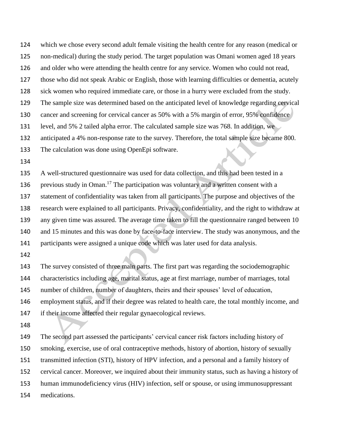which we chose every second adult female visiting the health centre for any reason (medical or non-medical) during the study period. The target population was Omani women aged 18 years and older who were attending the health centre for any service. Women who could not read, those who did not speak Arabic or English, those with learning difficulties or dementia, acutely sick women who required immediate care, or those in a hurry were excluded from the study. The sample size was determined based on the anticipated level of knowledge regarding cervical 130 cancer and screening for cervical cancer as 50% with a 5% margin of error, 95% confidence level, and 5% 2 tailed alpha error. The calculated sample size was 768. In addition, we anticipated a 4% non-response rate to the survey. Therefore, the total sample size became 800. The calculation was done using OpenEpi software.

 A well-structured questionnaire was used for data collection, and this had been tested in a 136 previous study in Oman.<sup>17</sup> The participation was voluntary and a written consent with a statement of confidentiality was taken from all participants. The purpose and objectives of the research were explained to all participants. Privacy, confidentiality, and the right to withdraw at any given time was assured. The average time taken to fill the questionnaire ranged between 10 and 15 minutes and this was done by face-to-face interview. The study was anonymous, and the participants were assigned a unique code which was later used for data analysis.

 The survey consisted of three main parts. The first part was regarding the sociodemographic characteristics including age, marital status, age at first marriage, number of marriages, total number of children, number of daughters, theirs and their spouses' level of education, employment status, and if their degree was related to health care, the total monthly income, and if their income affected their regular gynaecological reviews.

 The second part assessed the participants' cervical cancer risk factors including history of smoking, exercise, use of oral contraceptive methods, history of abortion, history of sexually transmitted infection (STI), history of HPV infection, and a personal and a family history of cervical cancer. Moreover, we inquired about their immunity status, such as having a history of human immunodeficiency virus (HIV) infection, self or spouse, or using immunosuppressant medications.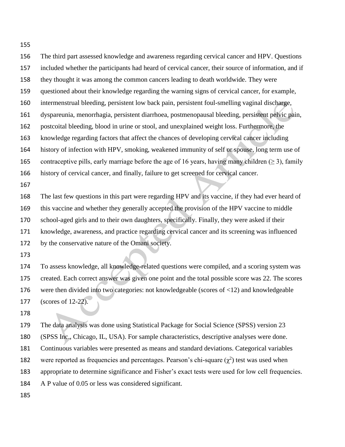The third part assessed knowledge and awareness regarding cervical cancer and HPV. Questions included whether the participants had heard of cervical cancer, their source of information, and if they thought it was among the common cancers leading to death worldwide. They were questioned about their knowledge regarding the warning signs of cervical cancer, for example, intermenstrual bleeding, persistent low back pain, persistent foul-smelling vaginal discharge, dyspareunia, menorrhagia, persistent diarrhoea, postmenopausal bleeding, persistent pelvic pain, postcoital bleeding, blood in urine or stool, and unexplained weight loss. Furthermore, the knowledge regarding factors that affect the chances of developing cervical cancer including 164 history of infection with HPV, smoking, weakened immunity of self or spouse, long term use of 165 contraceptive pills, early marriage before the age of 16 years, having many children ( $\geq$  3), family history of cervical cancer, and finally, failure to get screened for cervical cancer. The last few questions in this part were regarding HPV and its vaccine, if they had ever heard of

 this vaccine and whether they generally accepted the provision of the HPV vaccine to middle school-aged girls and to their own daughters, specifically. Finally, they were asked if their knowledge, awareness, and practice regarding cervical cancer and its screening was influenced by the conservative nature of the Omani society.

 To assess knowledge, all knowledge-related questions were compiled, and a scoring system was created. Each correct answer was given one point and the total possible score was 22. The scores were then divided into two categories: not knowledgeable (scores of <12) and knowledgeable (scores of 12-22).

 The data analysis was done using Statistical Package for Social Science (SPSS) version 23 (SPSS Inc., Chicago, IL, USA). For sample characteristics, descriptive analyses were done. Continuous variables were presented as means and standard deviations. Categorical variables 182 were reported as frequencies and percentages. Pearson's chi-square  $(\chi^2)$  test was used when appropriate to determine significance and Fisher's exact tests were used for low cell frequencies. A P value of 0.05 or less was considered significant.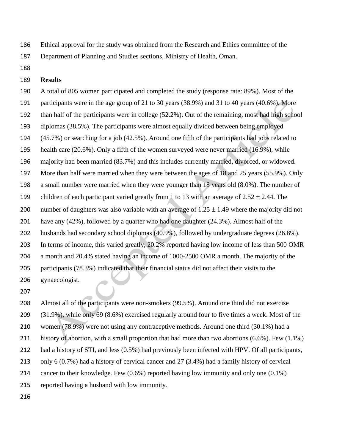Ethical approval for the study was obtained from the Research and Ethics committee of the

Department of Planning and Studies sections, Ministry of Health, Oman.

## **Results**

 A total of 805 women participated and completed the study (response rate: 89%). Most of the participants were in the age group of 21 to 30 years (38.9%) and 31 to 40 years (40.6%). More than half of the participants were in college (52.2%). Out of the remaining, most had high school diplomas (38.5%). The participants were almost equally divided between being employed (45.7%) or searching for a job (42.5%). Around one fifth of the participants had jobs related to health care (20.6%). Only a fifth of the women surveyed were never married (16.9%), while majority had been married (83.7%) and this includes currently married, divorced, or widowed. More than half were married when they were between the ages of 18 and 25 years (55.9%). Only a small number were married when they were younger than 18 years old (8.0%). The number of 199 children of each participant varied greatly from 1 to 13 with an average of  $2.52 \pm 2.44$ . The 200 number of daughters was also variable with an average of  $1.25 \pm 1.49$  where the majority did not have any (42%), followed by a quarter who had one daughter (24.3%). Almost half of the husbands had secondary school diplomas (40.9%), followed by undergraduate degrees (26.8%). In terms of income, this varied greatly, 20.2% reported having low income of less than 500 OMR a month and 20.4% stated having an income of 1000-2500 OMR a month. The majority of the participants (78.3%) indicated that their financial status did not affect their visits to the gynaecologist.

 Almost all of the participants were non-smokers (99.5%). Around one third did not exercise (31.9%), while only 69 (8.6%) exercised regularly around four to five times a week. Most of the women (78.9%) were not using any contraceptive methods. Around one third (30.1%) had a 211 history of abortion, with a small proportion that had more than two abortions (6.6%). Few (1.1%) had a history of STI, and less (0.5%) had previously been infected with HPV. Of all participants, only 6 (0.7%) had a history of cervical cancer and 27 (3.4%) had a family history of cervical cancer to their knowledge. Few (0.6%) reported having low immunity and only one (0.1%) reported having a husband with low immunity.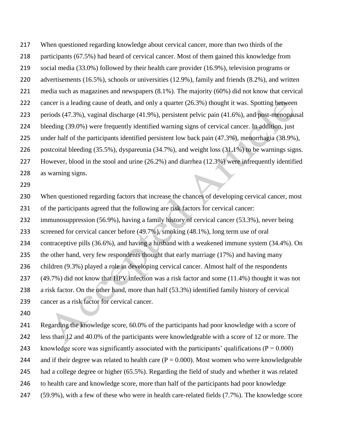When questioned regarding knowledge about cervical cancer, more than two thirds of the

- participants (67.5%) had heard of cervical cancer. Most of them gained this knowledge from
- social media (33.0%) followed by their health care provider (16.9%), television programs or
- advertisements (16.5%), schools or universities (12.9%), family and friends (8.2%), and written
- media such as magazines and newspapers (8.1%). The majority (60%) did not know that cervical
- 222 cancer is a leading cause of death, and only a quarter (26.3%) thought it was. Spotting between
- periods (47.3%), vaginal discharge (41.9%), persistent pelvic pain (41.6%), and post-menopausal
- bleeding (39.0%) were frequently identified warning signs of cervical cancer. In addition, just
- under half of the participants identified persistent low back pain (47.3%), menorrhagia (38.9%),

postcoital bleeding (35.5%), dyspareunia (34.7%), and weight loss (31.1%) to be warnings signs.

- However, blood in the stool and urine (26.2%) and diarrhea (12.3%) were infrequently identified
- as warning signs.
- 

 When questioned regarding factors that increase the chances of developing cervical cancer, most of the participants agreed that the following are risk factors for cervical cancer:

immunosuppression (56.9%), having a family history of cervical cancer (53.3%), never being

screened for cervical cancer before (49.7%), smoking (48.1%), long term use of oral

contraceptive pills (36.6%), and having a husband with a weakened immune system (34.4%). On

the other hand, very few respondents thought that early marriage (17%) and having many

children (9.3%) played a role in developing cervical cancer. Almost half of the respondents

- (49.7%) did not know that HPV infection was a risk factor and some (11.4%) thought it was not
- a risk factor. On the other hand, more than half (53.3%) identified family history of cervical
- cancer as a risk factor for cervical cancer.
- 

 Regarding the knowledge score, 60.0% of the participants had poor knowledge with a score of less than 12 and 40.0% of the participants were knowledgeable with a score of 12 or more. The 243 knowledge score was significantly associated with the participants' qualifications ( $P = 0.000$ ) 244 and if their degree was related to health care  $(P = 0.000)$ . Most women who were knowledgeable had a college degree or higher (65.5%). Regarding the field of study and whether it was related to health care and knowledge score, more than half of the participants had poor knowledge (59.9%), with a few of these who were in health care-related fields (7.7%). The knowledge score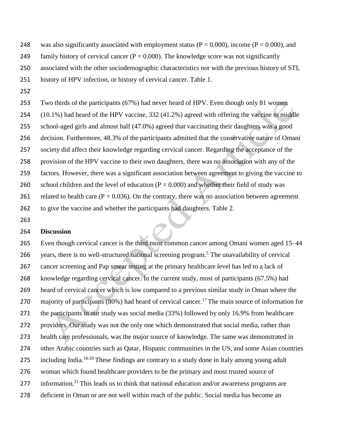- 248 was also significantly associated with employment status ( $P = 0.000$ ), income ( $P = 0.000$ ), and
- 249 family history of cervical cancer ( $P = 0.000$ ). The knowledge score was not significantly
- associated with the other sociodemographic characteristics nor with the previous history of STI,
- history of HPV infection, or history of cervical cancer. Table 1.
- 

 Two thirds of the participants (67%) had never heard of HPV. Even though only 81 women (10.1%) had heard of the HPV vaccine, 332 (41.2%) agreed with offering the vaccine to middle school-aged girls and almost half (47.0%) agreed that vaccinating their daughters was a good decision. Furthermore, 48.3% of the participants admitted that the conservative nature of Omani society did affect their knowledge regarding cervical cancer. Regarding the acceptance of the provision of the HPV vaccine to their own daughters, there was no association with any of the factors. However, there was a significant association between agreement to giving the vaccine to 260 school children and the level of education  $(P = 0.000)$  and whether their field of study was 261 related to health care ( $P = 0.036$ ). On the contrary, there was no association between agreement to give the vaccine and whether the participants had daughters. Table 2.

## **Discussion**

 Even though cervical cancer is the third most common cancer among Omani women aged 15–44 266 vears, there is no well-structured national screening program.<sup>5</sup> The unavailability of cervical cancer screening and Pap smear testing at the primary healthcare level has led to a lack of knowledge regarding cervical cancer. In the current study, most of participants (67.5%) had heard of cervical cancer which is low compared to a previous similar study in Oman where the 270 majority of participants (80%) had heard of cervical cancer.<sup>17</sup> The main source of information for the participants in our study was social media (33%) followed by only 16.9% from healthcare providers. Our study was not the only one which demonstrated that social media, rather than health care professionals, was the major source of knowledge. The same was demonstrated in other Arabic countries such as Qatar, Hispanic communities in the US, and some Asian countries 275 including India.<sup>18-20</sup> These findings are contrary to a study done in Italy among young adult woman which found healthcare providers to be the primary and most trusted source of 277 information.<sup>21</sup> This leads us to think that national education and/or awareness programs are deficient in Oman or are not well within reach of the public. Social media has become an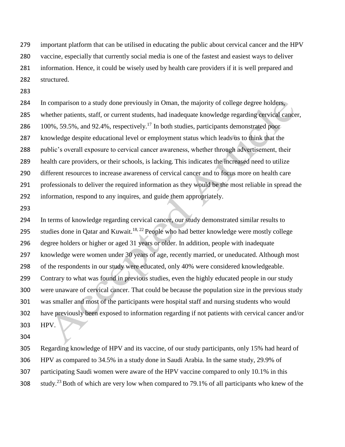important platform that can be utilised in educating the public about cervical cancer and the HPV vaccine, especially that currently social media is one of the fastest and easiest ways to deliver information. Hence, it could be wisely used by health care providers if it is well prepared and structured.

 In comparison to a study done previously in Oman, the majority of college degree holders, whether patients, staff, or current students, had inadequate knowledge regarding cervical cancer,  $100\%$ , 59.5%, and 92.4%, respectively.<sup>17</sup> In both studies, participants demonstrated poor knowledge despite educational level or employment status which leads us to think that the public's overall exposure to cervical cancer awareness, whether through advertisement, their health care providers, or their schools, is lacking. This indicates the increased need to utilize different resources to increase awareness of cervical cancer and to focus more on health care professionals to deliver the required information as they would be the most reliable in spread the information, respond to any inquires, and guide them appropriately.

 In terms of knowledge regarding cervical cancer, our study demonstrated similar results to 295 studies done in Qatar and Kuwait.<sup>18, 22</sup> People who had better knowledge were mostly college degree holders or higher or aged 31 years or older. In addition, people with inadequate knowledge were women under 30 years of age, recently married, or uneducated. Although most of the respondents in our study were educated, only 40% were considered knowledgeable. Contrary to what was found in previous studies, even the highly educated people in our study were unaware of cervical cancer. That could be because the population size in the previous study was smaller and most of the participants were hospital staff and nursing students who would have previously been exposed to information regarding if not patients with cervical cancer and/or HPV.

 Regarding knowledge of HPV and its vaccine, of our study participants, only 15% had heard of HPV as compared to 34.5% in a study done in Saudi Arabia. In the same study, 29.9% of participating Saudi women were aware of the HPV vaccine compared to only 10.1% in this study.<sup>23</sup> Both of which are very low when compared to 79.1% of all participants who knew of the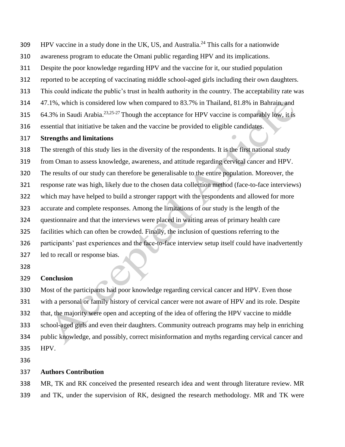- $HPV$  vaccine in a study done in the UK, US, and Australia.<sup>24</sup> This calls for a nationwide
- awareness program to educate the Omani public regarding HPV and its implications.
- Despite the poor knowledge regarding HPV and the vaccine for it, our studied population
- reported to be accepting of vaccinating middle school-aged girls including their own daughters.
- This could indicate the public's trust in health authority in the country. The acceptability rate was
- 47.1%, which is considered low when compared to 83.7% in Thailand, 81.8% in Bahrain, and
- 64.3% in Saudi Arabia.<sup>23,25-27</sup> Though the acceptance for HPV vaccine is comparably low, it is
- essential that initiative be taken and the vaccine be provided to eligible candidates.
- **Strengths and limitations**

 The strength of this study lies in the diversity of the respondents. It is the first national study from Oman to assess knowledge, awareness, and attitude regarding cervical cancer and HPV. The results of our study can therefore be generalisable to the entire population. Moreover, the response rate was high, likely due to the chosen data collection method (face-to-face interviews) which may have helped to build a stronger rapport with the respondents and allowed for more accurate and complete responses. Among the limitations of our study is the length of the questionnaire and that the interviews were placed in waiting areas of primary health care facilities which can often be crowded. Finally, the inclusion of questions referring to the participants' past experiences and the face-to-face interview setup itself could have inadvertently led to recall or response bias.

# 

### **Conclusion**

 Most of the participants had poor knowledge regarding cervical cancer and HPV. Even those with a personal or family history of cervical cancer were not aware of HPV and its role. Despite that, the majority were open and accepting of the idea of offering the HPV vaccine to middle school-aged girls and even their daughters. Community outreach programs may help in enriching public knowledge, and possibly, correct misinformation and myths regarding cervical cancer and HPV.

### **Authors Contribution**

 MR, TK and RK conceived the presented research idea and went through literature review. MR and TK, under the supervision of RK, designed the research methodology. MR and TK were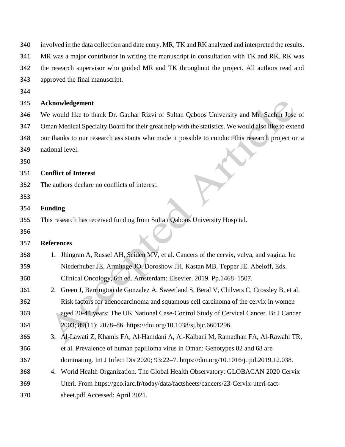| 340 |                                                                                             | involved in the data collection and date entry. MR, TK and RK analyzed and interpreted the results. |  |  |  |  |
|-----|---------------------------------------------------------------------------------------------|-----------------------------------------------------------------------------------------------------|--|--|--|--|
| 341 | MR was a major contributor in writing the manuscript in consultation with TK and RK. RK was |                                                                                                     |  |  |  |  |
| 342 | the research supervisor who guided MR and TK throughout the project. All authors read and   |                                                                                                     |  |  |  |  |
| 343 |                                                                                             | approved the final manuscript.                                                                      |  |  |  |  |
| 344 |                                                                                             |                                                                                                     |  |  |  |  |
| 345 |                                                                                             | Acknowledgement                                                                                     |  |  |  |  |
| 346 |                                                                                             | We would like to thank Dr. Gauhar Rizvi of Sultan Qaboos University and Mr. Sachin Jose of          |  |  |  |  |
| 347 |                                                                                             | Oman Medical Specialty Board for their great help with the statistics. We would also like to extend |  |  |  |  |
| 348 |                                                                                             | our thanks to our research assistants who made it possible to conduct this research project on a    |  |  |  |  |
| 349 |                                                                                             | national level.                                                                                     |  |  |  |  |
| 350 |                                                                                             |                                                                                                     |  |  |  |  |
| 351 |                                                                                             | <b>Conflict of Interest</b>                                                                         |  |  |  |  |
| 352 |                                                                                             | The authors declare no conflicts of interest.                                                       |  |  |  |  |
| 353 |                                                                                             |                                                                                                     |  |  |  |  |
| 354 | <b>Funding</b>                                                                              |                                                                                                     |  |  |  |  |
| 355 |                                                                                             | This research has received funding from Sultan Qaboos University Hospital.                          |  |  |  |  |
| 356 |                                                                                             |                                                                                                     |  |  |  |  |
| 357 | <b>References</b>                                                                           |                                                                                                     |  |  |  |  |
| 358 | 1.                                                                                          | Jhingran A, Russel AH, Seiden MV, et al. Cancers of the cervix, vulva, and vagina. In:              |  |  |  |  |
| 359 |                                                                                             | Niederhuber JE, Armitage JO, Doroshow JH, Kastan MB, Tepper JE. Abeloff, Eds.                       |  |  |  |  |
| 360 |                                                                                             | Clinical Oncology, 6th ed. Amsterdam: Elsevier, 2019. Pp.1468-1507.                                 |  |  |  |  |
| 361 |                                                                                             | 2. Green J, Berrington de Gonzalez A, Sweetland S, Beral V, Chilvers C, Crossley B, et al.          |  |  |  |  |
| 362 |                                                                                             | Risk factors for adenocarcinoma and squamous cell carcinoma of the cervix in women                  |  |  |  |  |
| 363 |                                                                                             | aged 20-44 years: The UK National Case-Control Study of Cervical Cancer. Br J Cancer                |  |  |  |  |
| 364 |                                                                                             | 2003; 89(11): 2078-86. https://doi.org/10.1038/sj.bjc.6601296.                                      |  |  |  |  |
| 365 | 3.                                                                                          | Al-Lawati Z, Khamis FA, Al-Hamdani A, Al-Kalbani M, Ramadhan FA, Al-Rawahi TR,                      |  |  |  |  |
| 366 |                                                                                             | et al. Prevalence of human papilloma virus in Oman: Genotypes 82 and 68 are                         |  |  |  |  |
| 367 |                                                                                             | dominating. Int J Infect Dis 2020; 93:22-7. https://doi.org/10.1016/j.ijid.2019.12.038.             |  |  |  |  |
| 368 | 4.                                                                                          | World Health Organization. The Global Health Observatory: GLOBACAN 2020 Cervix                      |  |  |  |  |
| 369 |                                                                                             | Uteri. From https://gco.iarc.fr/today/data/factsheets/cancers/23-Cervix-uteri-fact-                 |  |  |  |  |
| 370 |                                                                                             | sheet.pdf Accessed: April 2021.                                                                     |  |  |  |  |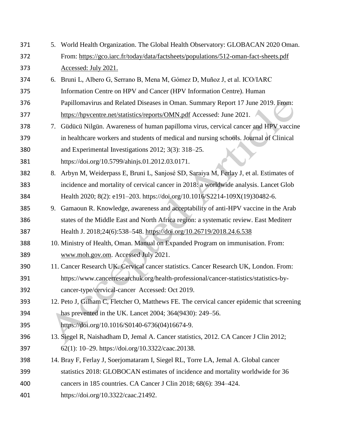5. World Health Organization. The Global Health Observatory: GLOBACAN 2020 Oman. From:<https://gco.iarc.fr/today/data/factsheets/populations/512-oman-fact-sheets.pdf> Accessed: July 2021. 6. Bruni L, Albero G, Serrano B, Mena M, Gómez D, Muñoz J, et al. ICO/IARC Information Centre on HPV and Cancer (HPV Information Centre). Human Papillomavirus and Related Diseases in Oman. Summary Report 17 June 2019. From: <https://hpvcentre.net/statistics/reports/OMN.pdf> Accessed: June 2021. 7. Güdücü Nilgün. Awareness of human papilloma virus, cervical cancer and HPV vaccine in healthcare workers and students of medical and nursing schools. Journal of Clinical and Experimental Investigations 2012; 3(3): 318–25. https://doi.org/10.5799/ahinjs.01.2012.03.0171. 8. Arbyn M, Weiderpass E, Bruni L, Sanjosé SD, Saraiya M, Ferlay J, et al. Estimates of incidence and mortality of cervical cancer in 2018: a worldwide analysis. Lancet Glob Health 2020; 8(2): e191–203. https://doi.org/10.1016/S2214-109X(19)30482-6. 9. Gamaoun R. Knowledge, awareness and acceptability of anti-HPV vaccine in the Arab states of the Middle East and North Africa region: a systematic review. East Mediterr Health J. 2018;24(6):538–548.<https://doi.org/10.26719/2018.24.6.538> 10. Ministry of Health, Oman. Manual on Expanded Program on immunisation. From: [www.moh.gov.om.](http://www.moh.gov.om/) Accessed July 2021. 11. Cancer Research UK. Cervical cancer statistics. Cancer Research UK, London. From: https://www.cancerresearchuk.org/health-professional/cancer-statistics/statistics-by- cancer-type/cervical-cancer Accessed: Oct 2019. 12. Peto J, Gilham C, Fletcher O, Matthews FE. The cervical cancer epidemic that screening has prevented in the UK. Lancet 2004; 364(9430): 249–56. https://doi.org/10.1016/S0140-6736(04)16674-9. 13. Siegel R, Naishadham D, Jemal A. Cancer statistics, 2012. CA Cancer J Clin 2012; 62(1): 10–29. https://doi.org/10.3322/caac.20138. 14. Bray F, Ferlay J, Soerjomataram I, Siegel RL, Torre LA, Jemal A. Global cancer statistics 2018: GLOBOCAN estimates of incidence and mortality worldwide for 36 cancers in 185 countries. CA Cancer J Clin 2018; 68(6): 394–424. https://doi.org/10.3322/caac.21492.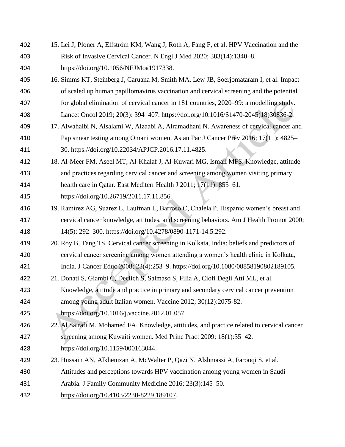- 15. Lei J, Ploner A, Elfström KM, Wang J, Roth A, Fang F, et al. HPV Vaccination and the Risk of Invasive Cervical Cancer. N Engl J Med 2020; 383(14):1340–8. https://doi.org/10.1056/NEJMoa1917338.
- 16. Simms KT, Steinberg J, Caruana M, Smith MA, Lew JB, Soerjomataram I, et al. Impact of scaled up human papillomavirus vaccination and cervical screening and the potential
- for global elimination of cervical cancer in 181 countries, 2020–99: a modelling study.
- Lancet Oncol 2019; 20(3): 394–407. https://doi.org/10.1016/S1470-2045(18)30836-2. 17. Alwahaibi N, Alsalami W, Alzaabi A, Alramadhani N. Awareness of cervical cancer and
- Pap smear testing among Omani women. Asian Pac J Cancer Prev 2016; 17(11): 4825– 30. https://doi.org/10.22034/APJCP.2016.17.11.4825.
- 18. Al-Meer FM, Aseel MT, Al-Khalaf J, Al-Kuwari MG, Ismail MFS. Knowledge, attitude and practices regarding cervical cancer and screening among women visiting primary health care in Qatar. East Mediterr Health J 2011; 17(11): 855–61.
- https://doi.org/10.26719/2011.17.11.856.
- 19. Ramirez AG, Suarez L, Laufman L, Barroso C, Chalela P. Hispanic women's breast and cervical cancer knowledge, attitudes, and screening behaviors. Am J Health Promot 2000; 14(5): 292–300. https://doi.org/10.4278/0890-1171-14.5.292.
- 20. Roy B, Tang TS. Cervical cancer screening in Kolkata, India: beliefs and predictors of cervical cancer screening among women attending a women's health clinic in Kolkata, India. J Cancer Educ 2008; 23(4):253–9. https://doi.org/10.1080/08858190802189105.
- 21. Donati S, Giambi C, Declich S, Salmaso S, Filia A, Ciofi Degli Atti ML, et al.
- Knowledge, attitude and practice in primary and secondary cervical cancer prevention among young adult Italian women. Vaccine 2012; 30(12):2075-82.
- https://doi.org/10.1016/j.vaccine.2012.01.057.
- 22. Al Sairafi M, Mohamed FA. Knowledge, attitudes, and practice related to cervical cancer screening among Kuwaiti women. Med Princ Pract 2009; 18(1):35–42.
- https://doi.org/10.1159/000163044.
- 23. Hussain AN, Alkhenizan A, McWalter P, Qazi N, Alshmassi A, Farooqi S, et al.
- Attitudes and perceptions towards HPV vaccination among young women in Saudi
- Arabia. J Family Community Medicine 2016; 23(3):145–50.
- [https://doi.org/10.4103/2230-8229.189107.](https://doi.org/10.4103/2230-8229.189107)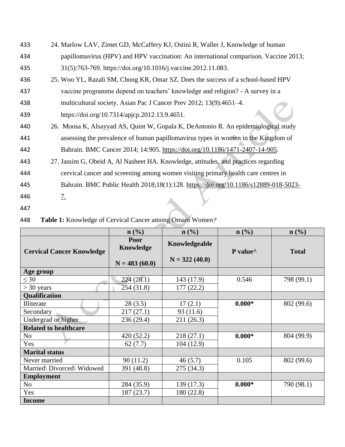- 433 24. Marlow LAV, Zimet GD, McCaffery KJ, Ostini R, Waller J, Knowledge of human 434 papillomavirus (HPV) and HPV vaccination: An international comparison. Vaccine 2013; 435 31(5):763-769. https://doi.org/10.1016/j.vaccine.2012.11.083.
- 436 25. Woo YL, Razali SM, Chong KR, Omar SZ. Does the success of a school-based HPV 437 vaccine programme depend on teachers' knowledge and religion? - A survey in a
- 438 multicultural society. Asian Pac J Cancer Prev 2012; 13(9):4651–4.
- 439 https://doi.org/10.7314/apjcp.2012.13.9.4651.
- 440 26. Moosa K, Alsayyad AS, Quint W, Gopala K, DeAntonio R. An epidemiological study 441 assessing the prevalence of human papillomavirus types in women in the Kingdom of 442 Bahrain. BMC Cancer 2014; 14:905. [https://doi.org/10.1186/1471-2407-14-905.](https://doi.org/10.1186/1471-2407-14-905)
- 443 27. [Jassim](https://pubmed.ncbi.nlm.nih.gov/?term=Jassim+G&cauthor_id=29325528) G, Obeid A, Al Nasheet HA. Knowledge, attitudes, and practices regarding
- 444 cervical cancer and screening among women visiting primary health care centres in
- 445 Bahrain. BMC Public Health 2018;18(1):128. [https://doi.org/10.1186/s12889-018-5023-](https://doi.org/10.1186/s12889-018-5023-7.)
- 446 [7.](https://doi.org/10.1186/s12889-018-5023-7.)
- 447

| 448 | Table 1: Knowledge of Cervical Cancer among Omani Women/ |  |  |  |
|-----|----------------------------------------------------------|--|--|--|
|-----|----------------------------------------------------------|--|--|--|

|                                  | $\mathbf{n}(\%)$                     | $\mathbf{n}(\%)$                 | $\mathbf{n}(\%)$ | $\mathbf{n}(\%)$ |  |
|----------------------------------|--------------------------------------|----------------------------------|------------------|------------------|--|
| <b>Cervical Cancer Knowledge</b> | Poor<br>Knowledge<br>$N = 483(60.0)$ | Knowledgeable<br>$N = 322(40.0)$ | P value^         | <b>Total</b>     |  |
| Age group                        |                                      |                                  |                  |                  |  |
| $\leq 30$                        | 224 (28.1)                           | 143 (17.9)                       | 0.546            | 798 (99.1)       |  |
| $>$ 30 years                     | 254(31.8)                            | 177(22.2)                        |                  |                  |  |
| Qualification                    |                                      |                                  |                  |                  |  |
| Illiterate                       | 28(3.5)                              | 17(2.1)                          | $0.000*$         | 802 (99.6)       |  |
| Secondary                        | 217(27.1)                            | 93(11.6)                         |                  |                  |  |
| Undergrad or higher              | 236 (29.4)                           | 211 (26.3)                       |                  |                  |  |
| <b>Related to healthcare</b>     |                                      |                                  |                  |                  |  |
| N <sub>o</sub>                   | 420(52.2)                            | 218(27.1)                        | $0.000*$         | 804 (99.9)       |  |
| Yes                              | 62(7.7)                              | 104 (12.9)                       |                  |                  |  |
| <b>Marital status</b>            |                                      |                                  |                  |                  |  |
| Never married                    | 90(11.2)                             | 46(5.7)                          | 0.105            | 802 (99.6)       |  |
| Married\ Divorced\ Widowed       | 391 (48.8)                           | 275(34.3)                        |                  |                  |  |
| <b>Employment</b>                |                                      |                                  |                  |                  |  |
| N <sub>o</sub>                   | 284 (35.9)                           | 139 (17.3)                       | $0.000*$         | 790 (98.1)       |  |
| Yes                              | 187(23.7)                            | 180 (22.8)                       |                  |                  |  |
| <b>Income</b>                    |                                      |                                  |                  |                  |  |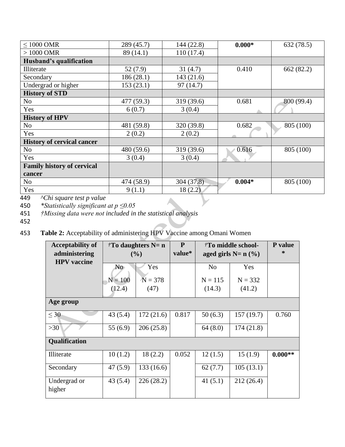| $\leq 1000$ OMR                   | 289 (45.7) | 144 (22.8) | $0.000*$ | 632(78.5)  |
|-----------------------------------|------------|------------|----------|------------|
| $>1000$ OMR                       | 89 (14.1)  | 110(17.4)  |          |            |
| Husband's qualification           |            |            |          |            |
| Illiterate                        | 52(7.9)    | 31(4.7)    | 0.410    | 662(82.2)  |
| Secondary                         | 186(28.1)  | 143(21.6)  |          |            |
| Undergrad or higher               | 153(23.1)  | 97(14.7)   |          |            |
| <b>History of STD</b>             |            |            |          |            |
| No                                | 477 (59.3) | 319 (39.6) | 0.681    | 800 (99.4) |
| Yes                               | 6(0.7)     | 3(0.4)     |          |            |
| <b>History of HPV</b>             |            |            |          |            |
| No                                | 481 (59.8) | 320 (39.8) | 0.682    | 805 (100)  |
| Yes                               | 2(0.2)     | 2(0.2)     |          |            |
| <b>History of cervical cancer</b> |            |            |          |            |
| N <sub>o</sub>                    | 480 (59.6) | 319 (39.6) | 0.616    | 805 (100)  |
| Yes                               | 3(0.4)     | 3(0.4)     |          |            |
| <b>Family history of cervical</b> |            |            |          |            |
| cancer                            |            |            |          |            |
| No                                | 474 (58.9) | 304(37.8)  | $0.004*$ | 805 (100)  |
| Yes                               | 9(1.1)     | 18(2.2)    |          |            |

449 *^Chi square test p value*

450 *\*Statistically significant at p ≤0.05*

451 *†Missing data were not included in the statistical analysis*

452

453 **Table 2:** Acceptability of administering HPV Vaccine among Omani Women

| <b>Acceptability of</b><br>administering<br><b>HPV</b> vaccine | $tT$ daughters N= n<br>(%) |            | $\mathbf{P}$<br>value* | <sup>†</sup> To middle school-<br>aged girls $N=n \ (\%)$ |           | P value<br>∗ |  |  |
|----------------------------------------------------------------|----------------------------|------------|------------------------|-----------------------------------------------------------|-----------|--------------|--|--|
|                                                                | No.                        | Yes        |                        | N <sub>0</sub>                                            | Yes       |              |  |  |
|                                                                | $N = 100$                  | $N = 378$  |                        | $N = 115$                                                 | $N = 332$ |              |  |  |
|                                                                | (12.4)                     | (47)       |                        | (14.3)                                                    | (41.2)    |              |  |  |
| Age group                                                      |                            |            |                        |                                                           |           |              |  |  |
| $\leq 30$                                                      | 43(5.4)                    | 172(21.6)  | 0.817                  | 50(6.3)                                                   | 157(19.7) | 0.760        |  |  |
| $>30$                                                          | 55 $(6.9)$                 | 206(25.8)  |                        | 64(8.0)                                                   | 174(21.8) |              |  |  |
| <b>Qualification</b>                                           |                            |            |                        |                                                           |           |              |  |  |
| Illiterate                                                     | 10(1.2)                    | 18(2.2)    | 0.052                  | 12(1.5)                                                   | 15(1.9)   | $0.000**$    |  |  |
| Secondary                                                      | 47(5.9)                    | 133 (16.6) |                        | 62(7.7)                                                   | 105(13.1) |              |  |  |
| Undergrad or<br>higher                                         | 43(5.4)                    | 226 (28.2) |                        | 41(5.1)                                                   | 212(26.4) |              |  |  |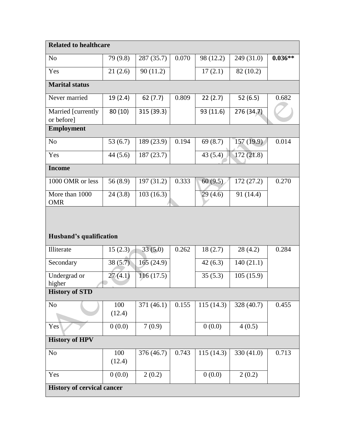| <b>Related to healthcare</b>      |               |            |       |           |            |           |  |  |  |
|-----------------------------------|---------------|------------|-------|-----------|------------|-----------|--|--|--|
| N <sub>o</sub>                    | 79 (9.8)      | 287 (35.7) | 0.070 | 98 (12.2) | 249 (31.0) | $0.036**$ |  |  |  |
| Yes                               | 21(2.6)       | 90(11.2)   |       | 17(2.1)   | 82(10.2)   |           |  |  |  |
| <b>Marital status</b>             |               |            |       |           |            |           |  |  |  |
| Never married                     | 19 (2.4)      | 62(7.7)    | 0.809 | 22(2.7)   | 52(6.5)    | 0.682     |  |  |  |
| Married [currently<br>or before]  | 80 (10)       | 315 (39.3) |       | 93 (11.6) | 276 (34.7) |           |  |  |  |
| <b>Employment</b>                 |               |            |       |           |            |           |  |  |  |
| N <sub>o</sub>                    | 53 $(6.7)$    | 189 (23.9) | 0.194 | 69(8.7)   | 157 (19.9) | 0.014     |  |  |  |
| Yes                               | 44(5.6)       | 187(23.7)  |       | 43(5.4)   | 172(21.8)  |           |  |  |  |
| <b>Income</b>                     |               |            |       |           |            |           |  |  |  |
| 1000 OMR or less                  | 56 (8.9)      | 197(31.2)  | 0.333 | 60(9.5)   | 172 (27.2) | 0.270     |  |  |  |
| More than 1000<br><b>OMR</b>      | 24(3.8)       | 103(16.3)  |       | 29(4.6)   | 91 (14.4)  |           |  |  |  |
|                                   |               |            |       |           |            |           |  |  |  |
|                                   |               |            |       |           |            |           |  |  |  |
| Husband's qualification           |               |            |       |           |            |           |  |  |  |
| Illiterate                        | 15(2.3)       | 33(5.0)    | 0.262 | 18(2.7)   | 28(4.2)    | 0.284     |  |  |  |
| Secondary                         | 38(5.7)       | 165 (24.9) |       | 42(6.3)   | 140(21.1)  |           |  |  |  |
| Undergrad or<br>higher            | 27(4.1)       | 116(17.5)  |       | 35(5.3)   | 105(15.9)  |           |  |  |  |
| <b>History of STD</b>             |               |            |       |           |            |           |  |  |  |
| No                                | 100<br>(12.4) | 371 (46.1) | 0.155 | 115(14.3) | 328 (40.7) | 0.455     |  |  |  |
| Yes                               | 0(0.0)        | 7(0.9)     |       | 0(0.0)    | 4(0.5)     |           |  |  |  |
| <b>History of HPV</b>             |               |            |       |           |            |           |  |  |  |
| N <sub>0</sub>                    | 100<br>(12.4) | 376 (46.7) | 0.743 | 115(14.3) | 330 (41.0) | 0.713     |  |  |  |
| Yes                               | 0(0.0)        | 2(0.2)     |       | 0(0.0)    | 2(0.2)     |           |  |  |  |
| <b>History of cervical cancer</b> |               |            |       |           |            |           |  |  |  |